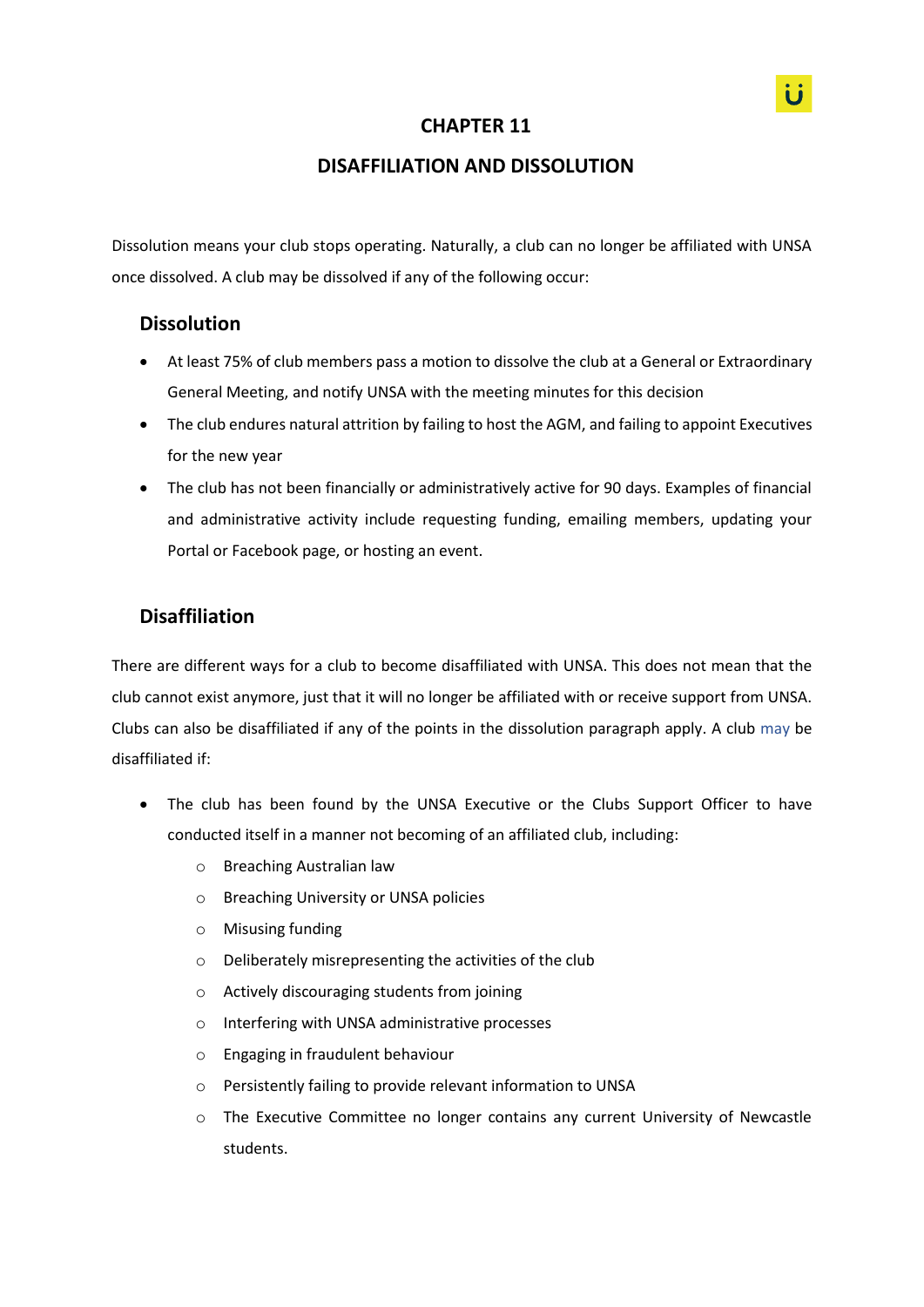## **CHAPTER 11**

## **DISAFFILIATION AND DISSOLUTION**

Dissolution means your club stops operating. Naturally, a club can no longer be affiliated with UNSA once dissolved. A club may be dissolved if any of the following occur:

## **Dissolution**

- At least 75% of club members pass a motion to dissolve the club at a General or Extraordinary General Meeting, and notify UNSA with the meeting minutes for this decision
- The club endures natural attrition by failing to host the AGM, and failing to appoint Executives for the new year
- The club has not been financially or administratively active for 90 days. Examples of financial and administrative activity include requesting funding, emailing members, updating your Portal or Facebook page, or hosting an event.

## **Disaffiliation**

There are different ways for a club to become disaffiliated with UNSA. This does not mean that the club cannot exist anymore, just that it will no longer be affiliated with or receive support from UNSA. Clubs can also be disaffiliated if any of the points in the dissolution paragraph apply. A club may be disaffiliated if:

- The club has been found by the UNSA Executive or the Clubs Support Officer to have conducted itself in a manner not becoming of an affiliated club, including:
	- o Breaching Australian law
	- o Breaching University or UNSA policies
	- o Misusing funding
	- o Deliberately misrepresenting the activities of the club
	- o Actively discouraging students from joining
	- o Interfering with UNSA administrative processes
	- o Engaging in fraudulent behaviour
	- o Persistently failing to provide relevant information to UNSA
	- o The Executive Committee no longer contains any current University of Newcastle students.